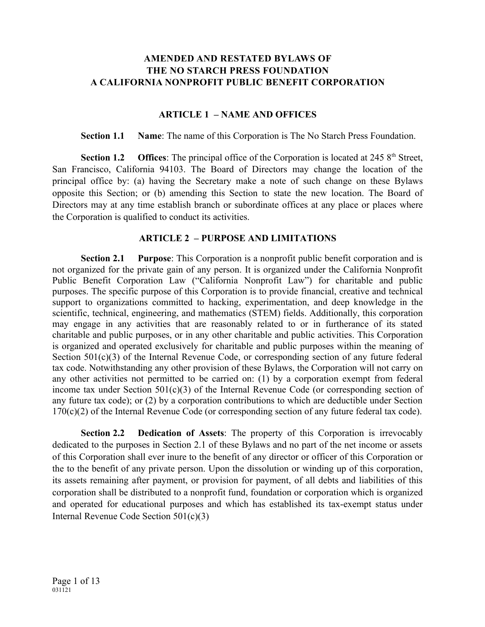### **AMENDED AND RESTATED BYLAWS OF THE NO STARCH PRESS FOUNDATION A CALIFORNIA NONPROFIT PUBLIC BENEFIT CORPORATION**

#### **ARTICLE 1 – NAME AND OFFICES**

**Section 1.1 Name**: The name of this Corporation is The No Starch Press Foundation.

**Section 1.2 Offices**: The principal office of the Corporation is located at 245 8<sup>th</sup> Street, San Francisco, California 94103. The Board of Directors may change the location of the principal office by: (a) having the Secretary make a note of such change on these Bylaws opposite this Section; or (b) amending this Section to state the new location. The Board of Directors may at any time establish branch or subordinate offices at any place or places where the Corporation is qualified to conduct its activities.

#### **ARTICLE 2 – PURPOSE AND LIMITATIONS**

**Section 2.1 Purpose**: This Corporation is a nonprofit public benefit corporation and is not organized for the private gain of any person. It is organized under the California Nonprofit Public Benefit Corporation Law ("California Nonprofit Law") for charitable and public purposes. The specific purpose of this Corporation is to provide financial, creative and technical support to organizations committed to hacking, experimentation, and deep knowledge in the scientific, technical, engineering, and mathematics (STEM) fields. Additionally, this corporation may engage in any activities that are reasonably related to or in furtherance of its stated charitable and public purposes, or in any other charitable and public activities. This Corporation is organized and operated exclusively for charitable and public purposes within the meaning of Section 501(c)(3) of the Internal Revenue Code, or corresponding section of any future federal tax code. Notwithstanding any other provision of these Bylaws, the Corporation will not carry on any other activities not permitted to be carried on: (1) by a corporation exempt from federal income tax under Section 501(c)(3) of the Internal Revenue Code (or corresponding section of any future tax code); or (2) by a corporation contributions to which are deductible under Section 170(c)(2) of the Internal Revenue Code (or corresponding section of any future federal tax code).

**Section 2.2 Dedication of Assets**: The property of this Corporation is irrevocably dedicated to the purposes in Section 2.1 of these Bylaws and no part of the net income or assets of this Corporation shall ever inure to the benefit of any director or officer of this Corporation or the to the benefit of any private person. Upon the dissolution or winding up of this corporation, its assets remaining after payment, or provision for payment, of all debts and liabilities of this corporation shall be distributed to a nonprofit fund, foundation or corporation which is organized and operated for educational purposes and which has established its tax-exempt status under Internal Revenue Code Section 501(c)(3)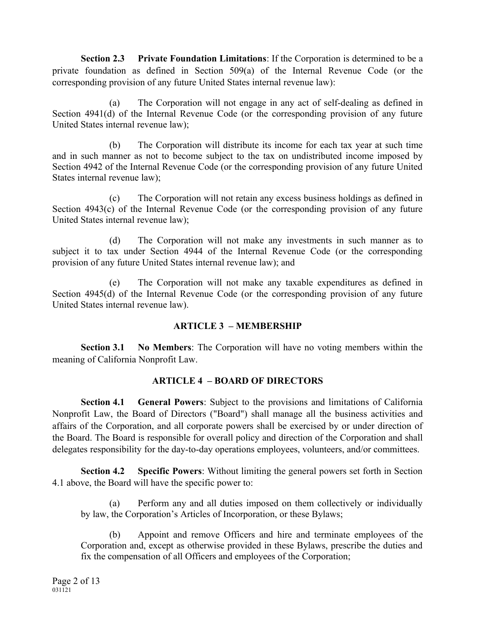**Section 2.3 Private Foundation Limitations**: If the Corporation is determined to be a private foundation as defined in Section 509(a) of the Internal Revenue Code (or the corresponding provision of any future United States internal revenue law):

(a) The Corporation will not engage in any act of self-dealing as defined in Section 4941(d) of the Internal Revenue Code (or the corresponding provision of any future United States internal revenue law);

(b) The Corporation will distribute its income for each tax year at such time and in such manner as not to become subject to the tax on undistributed income imposed by Section 4942 of the Internal Revenue Code (or the corresponding provision of any future United States internal revenue law);

(c) The Corporation will not retain any excess business holdings as defined in Section 4943(c) of the Internal Revenue Code (or the corresponding provision of any future United States internal revenue law);

(d) The Corporation will not make any investments in such manner as to subject it to tax under Section 4944 of the Internal Revenue Code (or the corresponding provision of any future United States internal revenue law); and

(e) The Corporation will not make any taxable expenditures as defined in Section 4945(d) of the Internal Revenue Code (or the corresponding provision of any future United States internal revenue law).

#### **ARTICLE 3 – MEMBERSHIP**

**Section 3.1 No Members**: The Corporation will have no voting members within the meaning of California Nonprofit Law.

# **ARTICLE 4 – BOARD OF DIRECTORS**

**Section 4.1 General Powers**: Subject to the provisions and limitations of California Nonprofit Law, the Board of Directors ("Board") shall manage all the business activities and affairs of the Corporation, and all corporate powers shall be exercised by or under direction of the Board. The Board is responsible for overall policy and direction of the Corporation and shall delegates responsibility for the day-to-day operations employees, volunteers, and/or committees.

**Section 4.2 Specific Powers**: Without limiting the general powers set forth in Section 4.1 above, the Board will have the specific power to:

(a) Perform any and all duties imposed on them collectively or individually by law, the Corporation's Articles of Incorporation, or these Bylaws;

(b) Appoint and remove Officers and hire and terminate employees of the Corporation and, except as otherwise provided in these Bylaws, prescribe the duties and fix the compensation of all Officers and employees of the Corporation;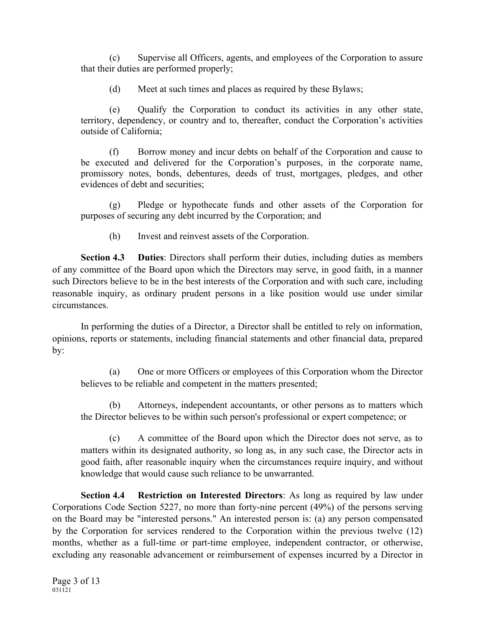(c) Supervise all Officers, agents, and employees of the Corporation to assure that their duties are performed properly;

(d) Meet at such times and places as required by these Bylaws;

(e) Qualify the Corporation to conduct its activities in any other state, territory, dependency, or country and to, thereafter, conduct the Corporation's activities outside of California;

(f) Borrow money and incur debts on behalf of the Corporation and cause to be executed and delivered for the Corporation's purposes, in the corporate name, promissory notes, bonds, debentures, deeds of trust, mortgages, pledges, and other evidences of debt and securities;

(g) Pledge or hypothecate funds and other assets of the Corporation for purposes of securing any debt incurred by the Corporation; and

(h) Invest and reinvest assets of the Corporation.

**Section 4.3 Duties**: Directors shall perform their duties, including duties as members of any committee of the Board upon which the Directors may serve, in good faith, in a manner such Directors believe to be in the best interests of the Corporation and with such care, including reasonable inquiry, as ordinary prudent persons in a like position would use under similar circumstances.

In performing the duties of a Director, a Director shall be entitled to rely on information, opinions, reports or statements, including financial statements and other financial data, prepared by:

(a) One or more Officers or employees of this Corporation whom the Director believes to be reliable and competent in the matters presented;

(b) Attorneys, independent accountants, or other persons as to matters which the Director believes to be within such person's professional or expert competence; or

(c) A committee of the Board upon which the Director does not serve, as to matters within its designated authority, so long as, in any such case, the Director acts in good faith, after reasonable inquiry when the circumstances require inquiry, and without knowledge that would cause such reliance to be unwarranted.

**Section 4.4 Restriction on Interested Directors**: As long as required by law under Corporations Code Section 5227, no more than forty-nine percent (49%) of the persons serving on the Board may be "interested persons." An interested person is: (a) any person compensated by the Corporation for services rendered to the Corporation within the previous twelve (12) months, whether as a full-time or part-time employee, independent contractor, or otherwise, excluding any reasonable advancement or reimbursement of expenses incurred by a Director in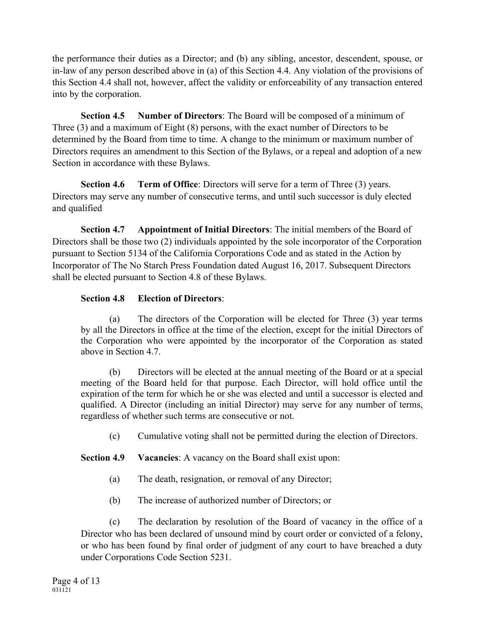the performance their duties as a Director; and (b) any sibling, ancestor, descendent, spouse, or in-law of any person described above in (a) of this Section 4.4. Any violation of the provisions of this Section 4.4 shall not, however, affect the validity or enforceability of any transaction entered into by the corporation.

**Section 4.5 Number of Directors**: The Board will be composed of a minimum of Three (3) and a maximum of Eight (8) persons, with the exact number of Directors to be determined by the Board from time to time. A change to the minimum or maximum number of Directors requires an amendment to this Section of the Bylaws, or a repeal and adoption of a new Section in accordance with these Bylaws.

**Section 4.6 Term of Office**: Directors will serve for a term of Three (3) years. Directors may serve any number of consecutive terms, and until such successor is duly elected and qualified

**Section 4.7 Appointment of Initial Directors**: The initial members of the Board of Directors shall be those two (2) individuals appointed by the sole incorporator of the Corporation pursuant to Section 5134 of the California Corporations Code and as stated in the Action by Incorporator of The No Starch Press Foundation dated August 16, 2017. Subsequent Directors shall be elected pursuant to Section 4.8 of these Bylaws.

# **Section 4.8 Election of Directors**:

(a) The directors of the Corporation will be elected for Three (3) year terms by all the Directors in office at the time of the election, except for the initial Directors of the Corporation who were appointed by the incorporator of the Corporation as stated above in Section 4.7.

(b) Directors will be elected at the annual meeting of the Board or at a special meeting of the Board held for that purpose. Each Director, will hold office until the expiration of the term for which he or she was elected and until a successor is elected and qualified. A Director (including an initial Director) may serve for any number of terms, regardless of whether such terms are consecutive or not.

(c) Cumulative voting shall not be permitted during the election of Directors.

**Section 4.9 Vacancies**: A vacancy on the Board shall exist upon:

- (a) The death, resignation, or removal of any Director;
- (b) The increase of authorized number of Directors; or

(c) The declaration by resolution of the Board of vacancy in the office of a Director who has been declared of unsound mind by court order or convicted of a felony, or who has been found by final order of judgment of any court to have breached a duty under Corporations Code Section 5231.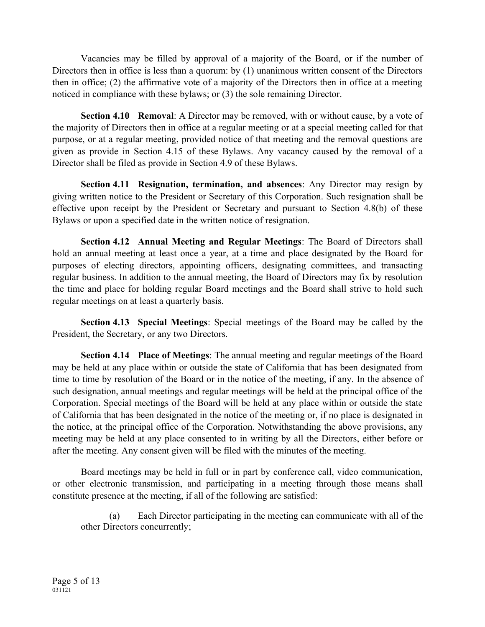Vacancies may be filled by approval of a majority of the Board, or if the number of Directors then in office is less than a quorum: by (1) unanimous written consent of the Directors then in office; (2) the affirmative vote of a majority of the Directors then in office at a meeting noticed in compliance with these bylaws; or (3) the sole remaining Director.

**Section 4.10 Removal**: A Director may be removed, with or without cause, by a vote of the majority of Directors then in office at a regular meeting or at a special meeting called for that purpose, or at a regular meeting, provided notice of that meeting and the removal questions are given as provide in Section 4.15 of these Bylaws. Any vacancy caused by the removal of a Director shall be filed as provide in Section 4.9 of these Bylaws.

**Section 4.11 Resignation, termination, and absences**: Any Director may resign by giving written notice to the President or Secretary of this Corporation. Such resignation shall be effective upon receipt by the President or Secretary and pursuant to Section 4.8(b) of these Bylaws or upon a specified date in the written notice of resignation.

**Section 4.12 Annual Meeting and Regular Meetings**: The Board of Directors shall hold an annual meeting at least once a year, at a time and place designated by the Board for purposes of electing directors, appointing officers, designating committees, and transacting regular business. In addition to the annual meeting, the Board of Directors may fix by resolution the time and place for holding regular Board meetings and the Board shall strive to hold such regular meetings on at least a quarterly basis.

**Section 4.13 Special Meetings**: Special meetings of the Board may be called by the President, the Secretary, or any two Directors.

**Section 4.14 Place of Meetings**: The annual meeting and regular meetings of the Board may be held at any place within or outside the state of California that has been designated from time to time by resolution of the Board or in the notice of the meeting, if any. In the absence of such designation, annual meetings and regular meetings will be held at the principal office of the Corporation. Special meetings of the Board will be held at any place within or outside the state of California that has been designated in the notice of the meeting or, if no place is designated in the notice, at the principal office of the Corporation. Notwithstanding the above provisions, any meeting may be held at any place consented to in writing by all the Directors, either before or after the meeting. Any consent given will be filed with the minutes of the meeting.

Board meetings may be held in full or in part by conference call, video communication, or other electronic transmission, and participating in a meeting through those means shall constitute presence at the meeting, if all of the following are satisfied:

(a) Each Director participating in the meeting can communicate with all of the other Directors concurrently;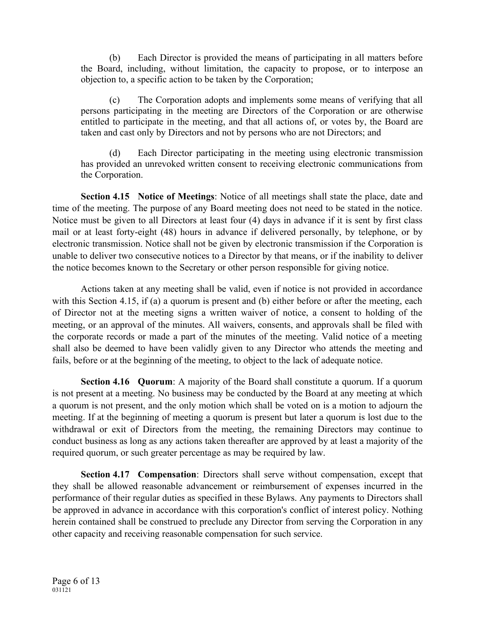(b) Each Director is provided the means of participating in all matters before the Board, including, without limitation, the capacity to propose, or to interpose an objection to, a specific action to be taken by the Corporation;

(c) The Corporation adopts and implements some means of verifying that all persons participating in the meeting are Directors of the Corporation or are otherwise entitled to participate in the meeting, and that all actions of, or votes by, the Board are taken and cast only by Directors and not by persons who are not Directors; and

(d) Each Director participating in the meeting using electronic transmission has provided an unrevoked written consent to receiving electronic communications from the Corporation.

**Section 4.15 Notice of Meetings**: Notice of all meetings shall state the place, date and time of the meeting. The purpose of any Board meeting does not need to be stated in the notice. Notice must be given to all Directors at least four (4) days in advance if it is sent by first class mail or at least forty-eight (48) hours in advance if delivered personally, by telephone, or by electronic transmission. Notice shall not be given by electronic transmission if the Corporation is unable to deliver two consecutive notices to a Director by that means, or if the inability to deliver the notice becomes known to the Secretary or other person responsible for giving notice.

Actions taken at any meeting shall be valid, even if notice is not provided in accordance with this Section 4.15, if (a) a quorum is present and (b) either before or after the meeting, each of Director not at the meeting signs a written waiver of notice, a consent to holding of the meeting, or an approval of the minutes. All waivers, consents, and approvals shall be filed with the corporate records or made a part of the minutes of the meeting. Valid notice of a meeting shall also be deemed to have been validly given to any Director who attends the meeting and fails, before or at the beginning of the meeting, to object to the lack of adequate notice.

**Section 4.16 Quorum**: A majority of the Board shall constitute a quorum. If a quorum is not present at a meeting. No business may be conducted by the Board at any meeting at which a quorum is not present, and the only motion which shall be voted on is a motion to adjourn the meeting. If at the beginning of meeting a quorum is present but later a quorum is lost due to the withdrawal or exit of Directors from the meeting, the remaining Directors may continue to conduct business as long as any actions taken thereafter are approved by at least a majority of the required quorum, or such greater percentage as may be required by law.

**Section 4.17 Compensation**: Directors shall serve without compensation, except that they shall be allowed reasonable advancement or reimbursement of expenses incurred in the performance of their regular duties as specified in these Bylaws. Any payments to Directors shall be approved in advance in accordance with this corporation's conflict of interest policy. Nothing herein contained shall be construed to preclude any Director from serving the Corporation in any other capacity and receiving reasonable compensation for such service.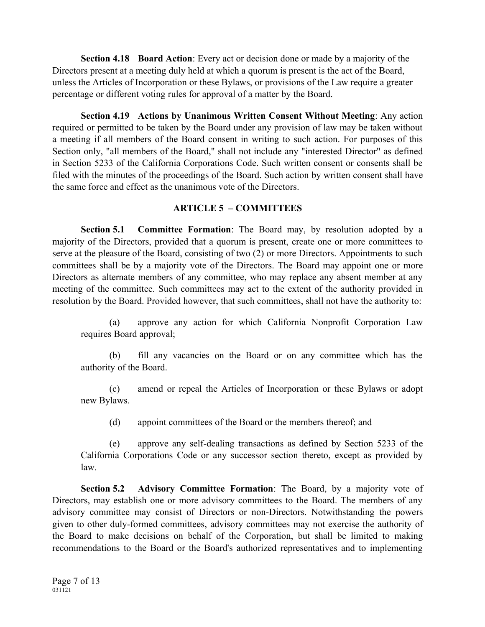**Section 4.18 Board Action**: Every act or decision done or made by a majority of the Directors present at a meeting duly held at which a quorum is present is the act of the Board, unless the Articles of Incorporation or these Bylaws, or provisions of the Law require a greater percentage or different voting rules for approval of a matter by the Board.

**Section 4.19 Actions by Unanimous Written Consent Without Meeting**: Any action required or permitted to be taken by the Board under any provision of law may be taken without a meeting if all members of the Board consent in writing to such action. For purposes of this Section only, "all members of the Board," shall not include any "interested Director" as defined in Section 5233 of the California Corporations Code. Such written consent or consents shall be filed with the minutes of the proceedings of the Board. Such action by written consent shall have the same force and effect as the unanimous vote of the Directors.

#### **ARTICLE 5 – COMMITTEES**

**Section 5.1 Committee Formation**: The Board may, by resolution adopted by a majority of the Directors, provided that a quorum is present, create one or more committees to serve at the pleasure of the Board, consisting of two (2) or more Directors. Appointments to such committees shall be by a majority vote of the Directors. The Board may appoint one or more Directors as alternate members of any committee, who may replace any absent member at any meeting of the committee. Such committees may act to the extent of the authority provided in resolution by the Board. Provided however, that such committees, shall not have the authority to:

(a) approve any action for which California Nonprofit Corporation Law requires Board approval;

(b) fill any vacancies on the Board or on any committee which has the authority of the Board.

(c) amend or repeal the Articles of Incorporation or these Bylaws or adopt new Bylaws.

(d) appoint committees of the Board or the members thereof; and

(e) approve any self-dealing transactions as defined by Section 5233 of the California Corporations Code or any successor section thereto, except as provided by law.

**Section 5.2 Advisory Committee Formation**: The Board, by a majority vote of Directors, may establish one or more advisory committees to the Board. The members of any advisory committee may consist of Directors or non-Directors. Notwithstanding the powers given to other duly-formed committees, advisory committees may not exercise the authority of the Board to make decisions on behalf of the Corporation, but shall be limited to making recommendations to the Board or the Board's authorized representatives and to implementing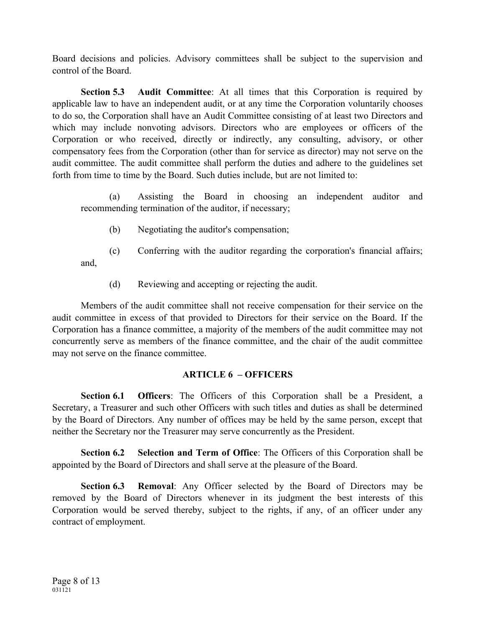Board decisions and policies. Advisory committees shall be subject to the supervision and control of the Board.

**Section 5.3 Audit Committee**: At all times that this Corporation is required by applicable law to have an independent audit, or at any time the Corporation voluntarily chooses to do so, the Corporation shall have an Audit Committee consisting of at least two Directors and which may include nonvoting advisors. Directors who are employees or officers of the Corporation or who received, directly or indirectly, any consulting, advisory, or other compensatory fees from the Corporation (other than for service as director) may not serve on the audit committee. The audit committee shall perform the duties and adhere to the guidelines set forth from time to time by the Board. Such duties include, but are not limited to:

(a) Assisting the Board in choosing an independent auditor and recommending termination of the auditor, if necessary;

(b) Negotiating the auditor's compensation;

(c) Conferring with the auditor regarding the corporation's financial affairs; and,

(d) Reviewing and accepting or rejecting the audit.

Members of the audit committee shall not receive compensation for their service on the audit committee in excess of that provided to Directors for their service on the Board. If the Corporation has a finance committee, a majority of the members of the audit committee may not concurrently serve as members of the finance committee, and the chair of the audit committee may not serve on the finance committee.

# **ARTICLE 6 – OFFICERS**

**Section 6.1 Officers**: The Officers of this Corporation shall be a President, a Secretary, a Treasurer and such other Officers with such titles and duties as shall be determined by the Board of Directors. Any number of offices may be held by the same person, except that neither the Secretary nor the Treasurer may serve concurrently as the President.

**Section 6.2 Selection and Term of Office**: The Officers of this Corporation shall be appointed by the Board of Directors and shall serve at the pleasure of the Board.

**Section 6.3 Removal**: Any Officer selected by the Board of Directors may be removed by the Board of Directors whenever in its judgment the best interests of this Corporation would be served thereby, subject to the rights, if any, of an officer under any contract of employment.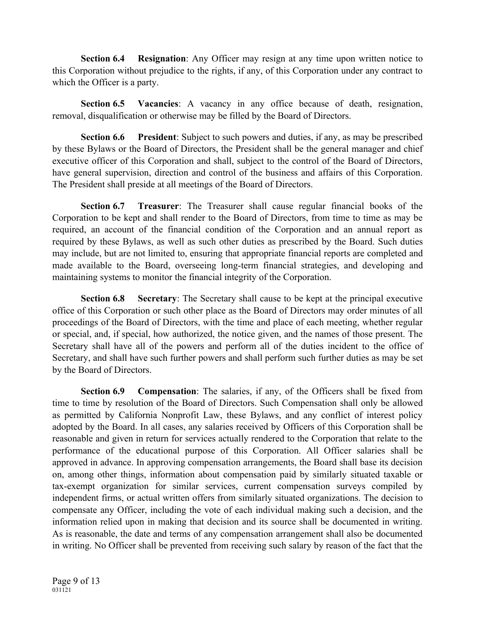**Section 6.4 Resignation**: Any Officer may resign at any time upon written notice to this Corporation without prejudice to the rights, if any, of this Corporation under any contract to which the Officer is a party.

**Section 6.5 Vacancies**: A vacancy in any office because of death, resignation, removal, disqualification or otherwise may be filled by the Board of Directors.

**Section 6.6 President**: Subject to such powers and duties, if any, as may be prescribed by these Bylaws or the Board of Directors, the President shall be the general manager and chief executive officer of this Corporation and shall, subject to the control of the Board of Directors, have general supervision, direction and control of the business and affairs of this Corporation. The President shall preside at all meetings of the Board of Directors.

**Section 6.7 Treasurer**: The Treasurer shall cause regular financial books of the Corporation to be kept and shall render to the Board of Directors, from time to time as may be required, an account of the financial condition of the Corporation and an annual report as required by these Bylaws, as well as such other duties as prescribed by the Board. Such duties may include, but are not limited to, ensuring that appropriate financial reports are completed and made available to the Board, overseeing long-term financial strategies, and developing and maintaining systems to monitor the financial integrity of the Corporation.

**Section 6.8 Secretary**: The Secretary shall cause to be kept at the principal executive office of this Corporation or such other place as the Board of Directors may order minutes of all proceedings of the Board of Directors, with the time and place of each meeting, whether regular or special, and, if special, how authorized, the notice given, and the names of those present. The Secretary shall have all of the powers and perform all of the duties incident to the office of Secretary, and shall have such further powers and shall perform such further duties as may be set by the Board of Directors.

**Section 6.9 Compensation**: The salaries, if any, of the Officers shall be fixed from time to time by resolution of the Board of Directors. Such Compensation shall only be allowed as permitted by California Nonprofit Law, these Bylaws, and any conflict of interest policy adopted by the Board. In all cases, any salaries received by Officers of this Corporation shall be reasonable and given in return for services actually rendered to the Corporation that relate to the performance of the educational purpose of this Corporation. All Officer salaries shall be approved in advance. In approving compensation arrangements, the Board shall base its decision on, among other things, information about compensation paid by similarly situated taxable or tax-exempt organization for similar services, current compensation surveys compiled by independent firms, or actual written offers from similarly situated organizations. The decision to compensate any Officer, including the vote of each individual making such a decision, and the information relied upon in making that decision and its source shall be documented in writing. As is reasonable, the date and terms of any compensation arrangement shall also be documented in writing. No Officer shall be prevented from receiving such salary by reason of the fact that the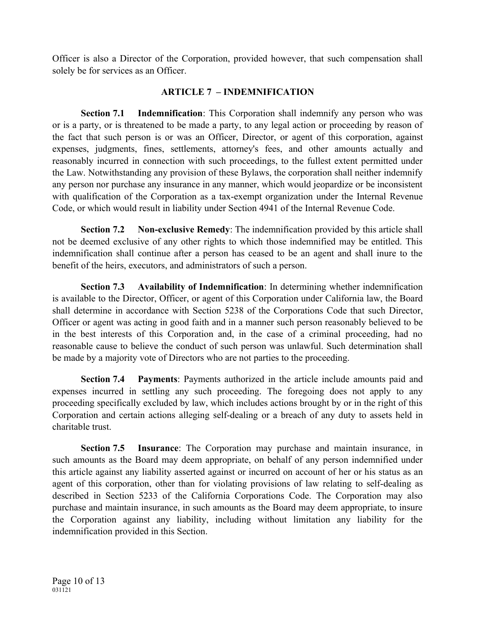Officer is also a Director of the Corporation, provided however, that such compensation shall solely be for services as an Officer.

# **ARTICLE 7 – INDEMNIFICATION**

**Section 7.1 Indemnification**: This Corporation shall indemnify any person who was or is a party, or is threatened to be made a party, to any legal action or proceeding by reason of the fact that such person is or was an Officer, Director, or agent of this corporation, against expenses, judgments, fines, settlements, attorney's fees, and other amounts actually and reasonably incurred in connection with such proceedings, to the fullest extent permitted under the Law. Notwithstanding any provision of these Bylaws, the corporation shall neither indemnify any person nor purchase any insurance in any manner, which would jeopardize or be inconsistent with qualification of the Corporation as a tax-exempt organization under the Internal Revenue Code, or which would result in liability under Section 4941 of the Internal Revenue Code.

**Section 7.2 Non-exclusive Remedy**: The indemnification provided by this article shall not be deemed exclusive of any other rights to which those indemnified may be entitled. This indemnification shall continue after a person has ceased to be an agent and shall inure to the benefit of the heirs, executors, and administrators of such a person.

**Section 7.3 Availability of Indemnification**: In determining whether indemnification is available to the Director, Officer, or agent of this Corporation under California law, the Board shall determine in accordance with Section 5238 of the Corporations Code that such Director, Officer or agent was acting in good faith and in a manner such person reasonably believed to be in the best interests of this Corporation and, in the case of a criminal proceeding, had no reasonable cause to believe the conduct of such person was unlawful. Such determination shall be made by a majority vote of Directors who are not parties to the proceeding.

**Section 7.4 Payments**: Payments authorized in the article include amounts paid and expenses incurred in settling any such proceeding. The foregoing does not apply to any proceeding specifically excluded by law, which includes actions brought by or in the right of this Corporation and certain actions alleging self-dealing or a breach of any duty to assets held in charitable trust.

**Section 7.5 Insurance**: The Corporation may purchase and maintain insurance, in such amounts as the Board may deem appropriate, on behalf of any person indemnified under this article against any liability asserted against or incurred on account of her or his status as an agent of this corporation, other than for violating provisions of law relating to self-dealing as described in Section 5233 of the California Corporations Code. The Corporation may also purchase and maintain insurance, in such amounts as the Board may deem appropriate, to insure the Corporation against any liability, including without limitation any liability for the indemnification provided in this Section.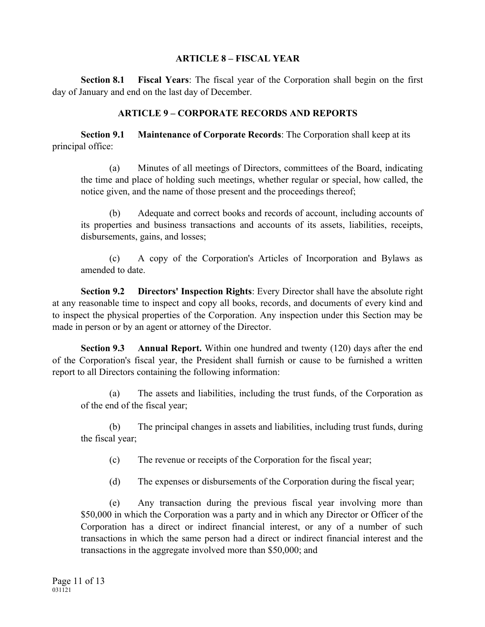#### **ARTICLE 8 – FISCAL YEAR**

**Section 8.1 Fiscal Years**: The fiscal year of the Corporation shall begin on the first day of January and end on the last day of December.

## **ARTICLE 9 – CORPORATE RECORDS AND REPORTS**

**Section 9.1 Maintenance of Corporate Records**: The Corporation shall keep at its principal office:

(a) Minutes of all meetings of Directors, committees of the Board, indicating the time and place of holding such meetings, whether regular or special, how called, the notice given, and the name of those present and the proceedings thereof;

(b) Adequate and correct books and records of account, including accounts of its properties and business transactions and accounts of its assets, liabilities, receipts, disbursements, gains, and losses;

(c) A copy of the Corporation's Articles of Incorporation and Bylaws as amended to date.

**Section 9.2 Directors' Inspection Rights**: Every Director shall have the absolute right at any reasonable time to inspect and copy all books, records, and documents of every kind and to inspect the physical properties of the Corporation. Any inspection under this Section may be made in person or by an agent or attorney of the Director.

**Section 9.3 Annual Report.** Within one hundred and twenty (120) days after the end of the Corporation's fiscal year, the President shall furnish or cause to be furnished a written report to all Directors containing the following information:

(a) The assets and liabilities, including the trust funds, of the Corporation as of the end of the fiscal year;

(b) The principal changes in assets and liabilities, including trust funds, during the fiscal year;

(c) The revenue or receipts of the Corporation for the fiscal year;

(d) The expenses or disbursements of the Corporation during the fiscal year;

(e) Any transaction during the previous fiscal year involving more than \$50,000 in which the Corporation was a party and in which any Director or Officer of the Corporation has a direct or indirect financial interest, or any of a number of such transactions in which the same person had a direct or indirect financial interest and the transactions in the aggregate involved more than \$50,000; and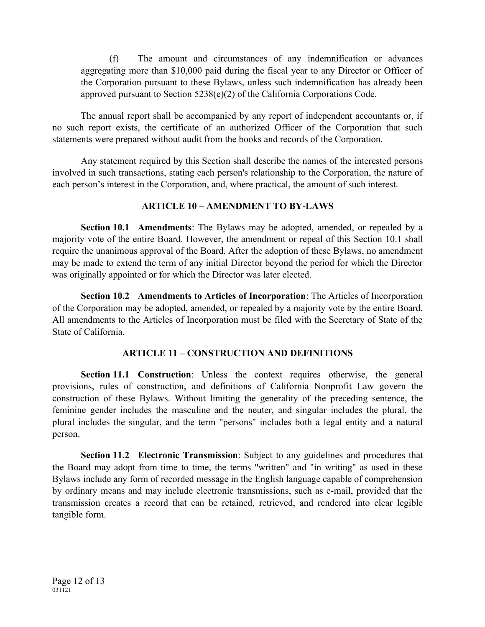(f) The amount and circumstances of any indemnification or advances aggregating more than \$10,000 paid during the fiscal year to any Director or Officer of the Corporation pursuant to these Bylaws, unless such indemnification has already been approved pursuant to Section 5238(e)(2) of the California Corporations Code.

The annual report shall be accompanied by any report of independent accountants or, if no such report exists, the certificate of an authorized Officer of the Corporation that such statements were prepared without audit from the books and records of the Corporation.

Any statement required by this Section shall describe the names of the interested persons involved in such transactions, stating each person's relationship to the Corporation, the nature of each person's interest in the Corporation, and, where practical, the amount of such interest.

### **ARTICLE 10 – AMENDMENT TO BY-LAWS**

**Section 10.1 Amendments**: The Bylaws may be adopted, amended, or repealed by a majority vote of the entire Board. However, the amendment or repeal of this Section 10.1 shall require the unanimous approval of the Board. After the adoption of these Bylaws, no amendment may be made to extend the term of any initial Director beyond the period for which the Director was originally appointed or for which the Director was later elected.

**Section 10.2 Amendments to Articles of Incorporation**: The Articles of Incorporation of the Corporation may be adopted, amended, or repealed by a majority vote by the entire Board. All amendments to the Articles of Incorporation must be filed with the Secretary of State of the State of California.

# **ARTICLE 11 – CONSTRUCTION AND DEFINITIONS**

**Section 11.1 Construction**: Unless the context requires otherwise, the general provisions, rules of construction, and definitions of California Nonprofit Law govern the construction of these Bylaws. Without limiting the generality of the preceding sentence, the feminine gender includes the masculine and the neuter, and singular includes the plural, the plural includes the singular, and the term "persons" includes both a legal entity and a natural person.

**Section 11.2 Electronic Transmission**: Subject to any guidelines and procedures that the Board may adopt from time to time, the terms "written" and "in writing" as used in these Bylaws include any form of recorded message in the English language capable of comprehension by ordinary means and may include electronic transmissions, such as e-mail, provided that the transmission creates a record that can be retained, retrieved, and rendered into clear legible tangible form.